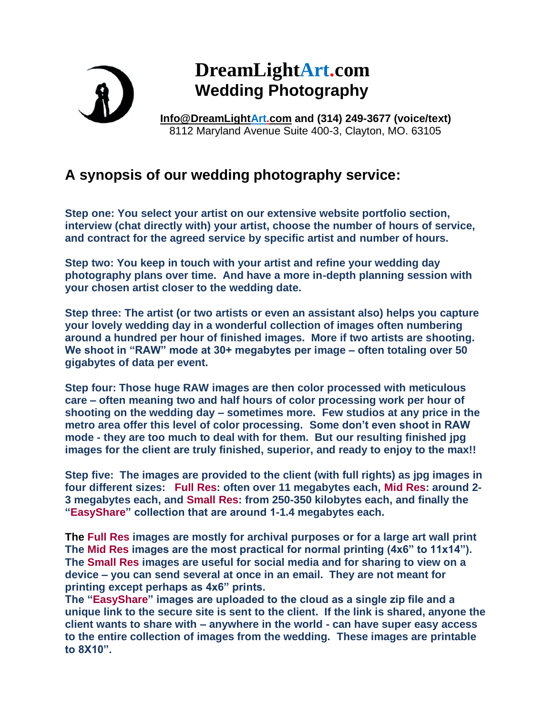

## **DreamLightArt.com Wedding Photography**

**[Info@DreamLightArt.com](mailto:Info@DreamLightArt.com) and (314) 249-3677 (voice/text)** 8112 Maryland Avenue Suite 400-3, Clayton, MO. 63105

## **A synopsis of our wedding photography service:**

**Step one: You select your artist on our extensive website portfolio section, interview (chat directly with) your artist, choose the number of hours of service, and contract for the agreed service by specific artist and number of hours.**

**Step two: You keep in touch with your artist and refine your wedding day photography plans over time. And have a more in-depth planning session with your chosen artist closer to the wedding date.**

**Step three: The artist (or two artists or even an assistant also) helps you capture your lovely wedding day in a wonderful collection of images often numbering around a hundred per hour of finished images. More if two artists are shooting. We shoot in "RAW" mode at 30+ megabytes per image – often totaling over 50 gigabytes of data per event.**

**Step four: Those huge RAW images are then color processed with meticulous care – often meaning two and half hours of color processing work per hour of shooting on the wedding day – sometimes more. Few studios at any price in the metro area offer this level of color processing. Some don't even shoot in RAW mode - they are too much to deal with for them. But our resulting finished jpg images for the client are truly finished, superior, and ready to enjoy to the max!!**

**Step five: The images are provided to the client (with full rights) as jpg images in four different sizes: Full Res: often over 11 megabytes each, Mid Res: around 2- 3 megabytes each, and Small Res: from 250-350 kilobytes each, and finally the "EasyShare" collection that are around 1-1.4 megabytes each.** 

**The Full Res images are mostly for archival purposes or for a large art wall print The Mid Res images are the most practical for normal printing (4x6" to 11x14"). The Small Res images are useful for social media and for sharing to view on a device – you can send several at once in an email. They are not meant for printing except perhaps as 4x6" prints.** 

**The "EasyShare" images are uploaded to the cloud as a single zip file and a unique link to the secure site is sent to the client. If the link is shared, anyone the client wants to share with – anywhere in the world - can have super easy access to the entire collection of images from the wedding. These images are printable to 8X10".**